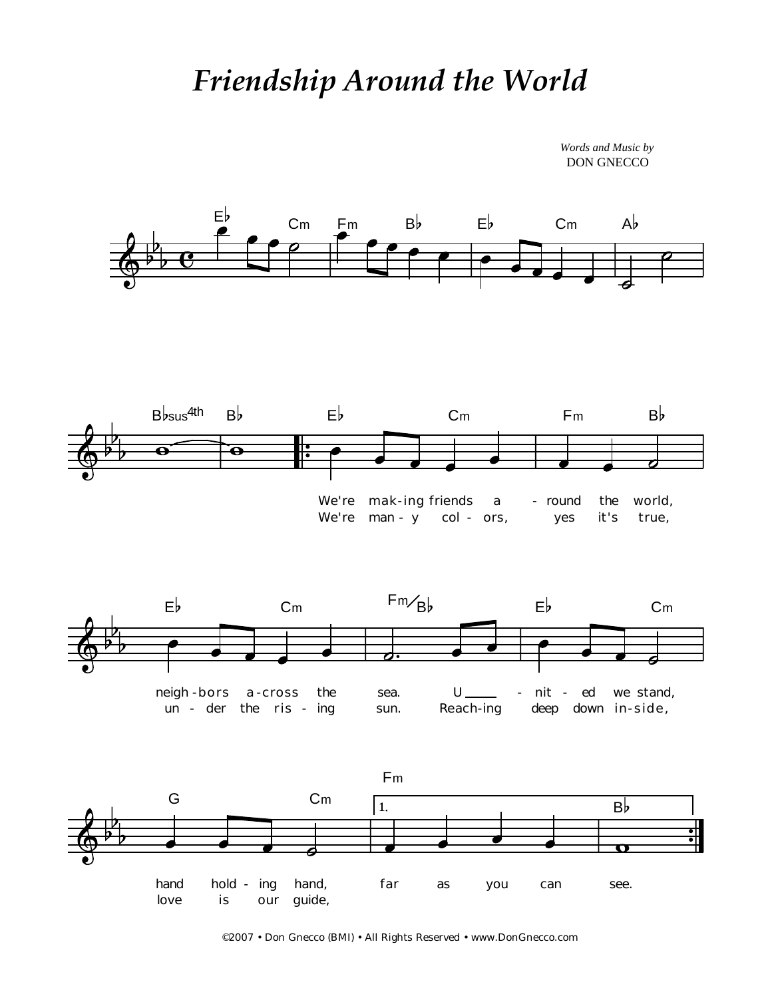## *Friendship Around the World*

*Words and Music by* DON GNECCO



©2007 • Don Gnecco (BMI) • All Rights Reserved • www.DonGnecco.com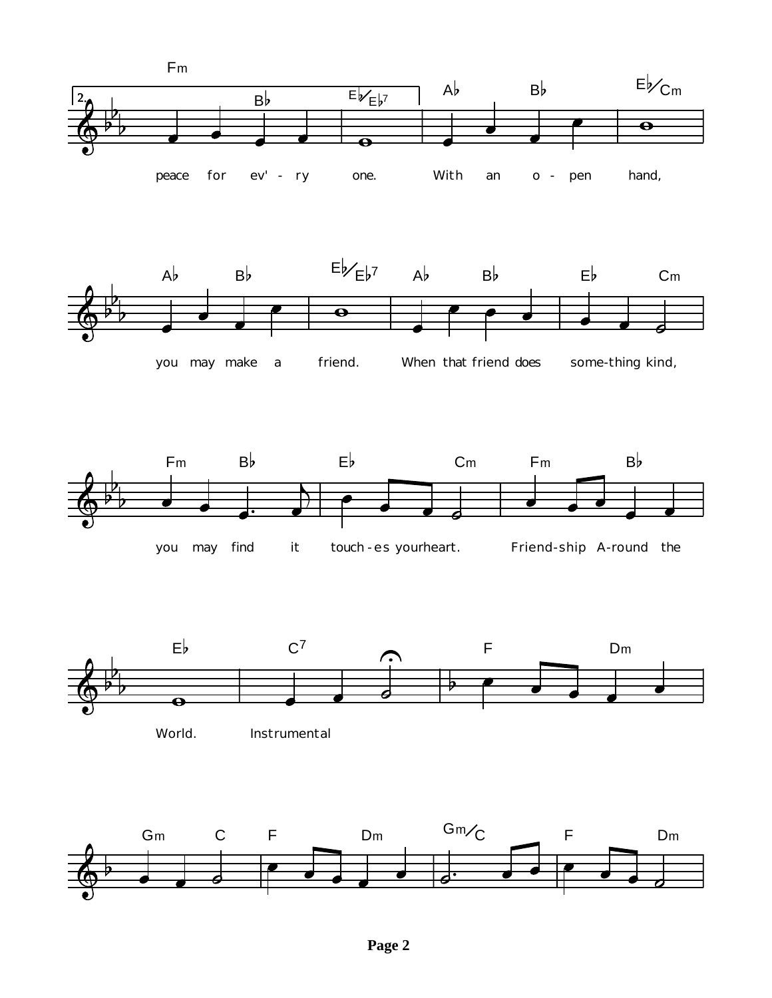